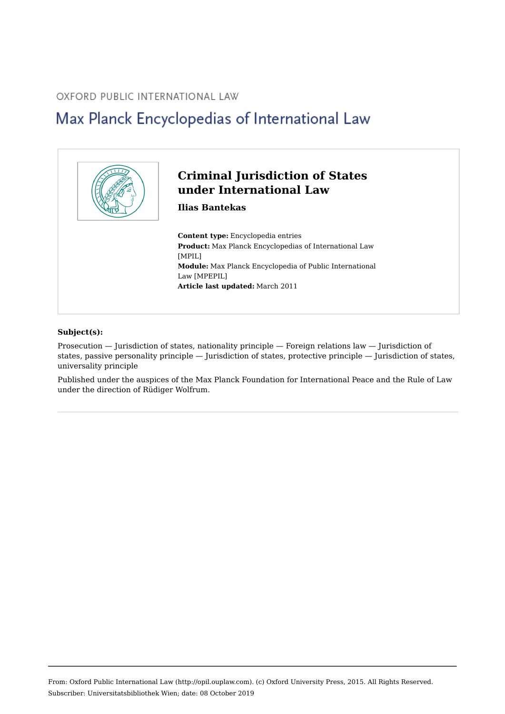#### OXFORD PUBLIC INTERNATIONAL LAW

# Max Planck Encyclopedias of International Law



#### **Subject(s):**

Prosecution — Jurisdiction of states, nationality principle — Foreign relations law — Jurisdiction of states, passive personality principle — Jurisdiction of states, protective principle — Jurisdiction of states, universality principle

Published under the auspices of the Max Planck Foundation for International Peace and the Rule of Law under the direction of Rüdiger Wolfrum.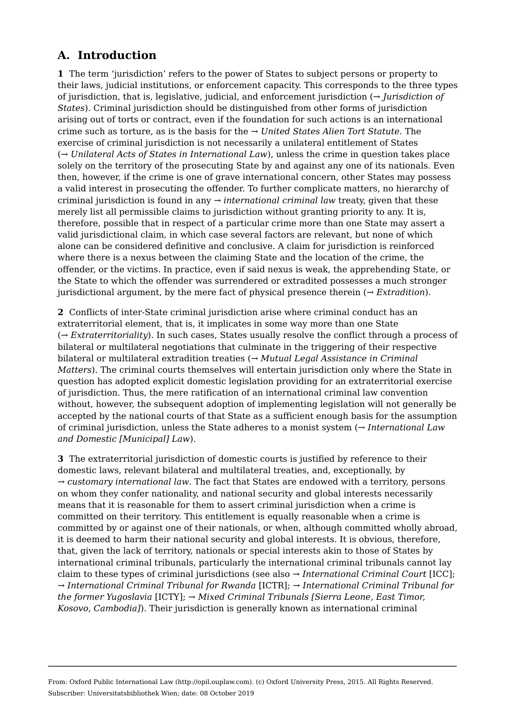## **A. Introduction**

**1**  The term 'jurisdiction' refers to the power of States to subject persons or property to their laws, judicial institutions, or enforcement capacity. This corresponds to the three types of jurisdiction, that is, legislative, judicial, and enforcement jurisdiction (*→ Jurisdiction of States*). Criminal jurisdiction should be distinguished from other forms of jurisdiction arising out of torts or contract, even if the foundation for such actions is an international crime such as torture, as is the basis for the *→ United States Alien Tort Statute*. The exercise of criminal jurisdiction is not necessarily a unilateral entitlement of States (*→ Unilateral Acts of States in International Law*), unless the crime in question takes place solely on the territory of the prosecuting State by and against any one of its nationals. Even then, however, if the crime is one of grave international concern, other States may possess a valid interest in prosecuting the offender. To further complicate matters, no hierarchy of criminal jurisdiction is found in any *→ international criminal law* treaty, given that these merely list all permissible claims to jurisdiction without granting priority to any. It is, therefore, possible that in respect of a particular crime more than one State may assert a valid jurisdictional claim, in which case several factors are relevant, but none of which alone can be considered definitive and conclusive. A claim for jurisdiction is reinforced where there is a nexus between the claiming State and the location of the crime, the offender, or the victims. In practice, even if said nexus is weak, the apprehending State, or the State to which the offender was surrendered or extradited possesses a much stronger jurisdictional argument, by the mere fact of physical presence therein (*→ Extradition*).

**2**  Conflicts of inter-State criminal jurisdiction arise where criminal conduct has an extraterritorial element, that is, it implicates in some way more than one State (*→ Extraterritoriality*). In such cases, States usually resolve the conflict through a process of bilateral or multilateral negotiations that culminate in the triggering of their respective bilateral or multilateral extradition treaties (*→ Mutual Legal Assistance in Criminal Matters*). The criminal courts themselves will entertain jurisdiction only where the State in question has adopted explicit domestic legislation providing for an extraterritorial exercise of jurisdiction. Thus, the mere ratification of an international criminal law convention without, however, the subsequent adoption of implementing legislation will not generally be accepted by the national courts of that State as a sufficient enough basis for the assumption of criminal jurisdiction, unless the State adheres to a monist system (*→ International Law and Domestic [Municipal] Law*).

**3**  The extraterritorial jurisdiction of domestic courts is justified by reference to their domestic laws, relevant bilateral and multilateral treaties, and, exceptionally, by *→ customary international law*. The fact that States are endowed with a territory, persons on whom they confer nationality, and national security and global interests necessarily means that it is reasonable for them to assert criminal jurisdiction when a crime is committed on their territory. This entitlement is equally reasonable when a crime is committed by or against one of their nationals, or when, although committed wholly abroad, it is deemed to harm their national security and global interests. It is obvious, therefore, that, given the lack of territory, nationals or special interests akin to those of States by international criminal tribunals, particularly the international criminal tribunals cannot lay claim to these types of criminal jurisdictions (see also *→ International Criminal Court* [ICC]; *→ International Criminal Tribunal for Rwanda* [ICTR]; *→ International Criminal Tribunal for the former Yugoslavia* [ICTY]; *→ Mixed Criminal Tribunals [Sierra Leone, East Timor, Kosovo, Cambodia]*). Their jurisdiction is generally known as international criminal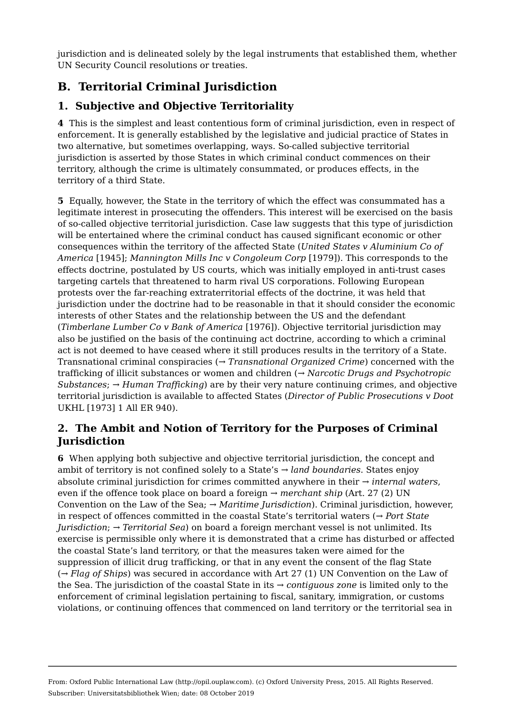jurisdiction and is delineated solely by the legal instruments that established them, whether UN Security Council resolutions or treaties.

# **B. Territorial Criminal Jurisdiction**

#### **1. Subjective and Objective Territoriality**

**4**  This is the simplest and least contentious form of criminal jurisdiction, even in respect of enforcement. It is generally established by the legislative and judicial practice of States in two alternative, but sometimes overlapping, ways. So-called subjective territorial jurisdiction is asserted by those States in which criminal conduct commences on their territory, although the crime is ultimately consummated, or produces effects, in the territory of a third State.

**5**  Equally, however, the State in the territory of which the effect was consummated has a legitimate interest in prosecuting the offenders. This interest will be exercised on the basis of so-called objective territorial jurisdiction. Case law suggests that this type of jurisdiction will be entertained where the criminal conduct has caused significant economic or other consequences within the territory of the affected State (*United States v Aluminium Co of America* [1945]; *Mannington Mills Inc v Congoleum Corp* [1979]). This corresponds to the effects doctrine, postulated by US courts, which was initially employed in anti-trust cases targeting cartels that threatened to harm rival US corporations. Following European protests over the far-reaching extraterritorial effects of the doctrine, it was held that jurisdiction under the doctrine had to be reasonable in that it should consider the economic interests of other States and the relationship between the US and the defendant (*Timberlane Lumber Co v Bank of America* [1976]). Objective territorial jurisdiction may also be justified on the basis of the continuing act doctrine, according to which a criminal act is not deemed to have ceased where it still produces results in the territory of a State. Transnational criminal conspiracies (*→ Transnational Organized Crime*) concerned with the trafficking of illicit substances or women and children (*→ Narcotic Drugs and Psychotropic Substances*; *→ Human Trafficking*) are by their very nature continuing crimes, and objective territorial jurisdiction is available to affected States (*Director of Public Prosecutions v Doot* UKHL [1973] 1 All ER 940).

#### **2. The Ambit and Notion of Territory for the Purposes of Criminal Jurisdiction**

**6**  When applying both subjective and objective territorial jurisdiction, the concept and ambit of territory is not confined solely to a State's *→ land boundaries*. States enjoy absolute criminal jurisdiction for crimes committed anywhere in their *→ internal waters*, even if the offence took place on board a foreign *→ merchant ship* (Art. 27 (2) UN Convention on the Law of the Sea; *→ Maritime Jurisdiction*). Criminal jurisdiction, however, in respect of offences committed in the coastal State's territorial waters (*→ Port State Jurisdiction*; *→ Territorial Sea*) on board a foreign merchant vessel is not unlimited. Its exercise is permissible only where it is demonstrated that a crime has disturbed or affected the coastal State's land territory, or that the measures taken were aimed for the suppression of illicit drug trafficking, or that in any event the consent of the flag State (*→ Flag of Ships*) was secured in accordance with Art 27 (1) UN Convention on the Law of the Sea. The jurisdiction of the coastal State in its *→ contiguous zone* is limited only to the enforcement of criminal legislation pertaining to fiscal, sanitary, immigration, or customs violations, or continuing offences that commenced on land territory or the territorial sea in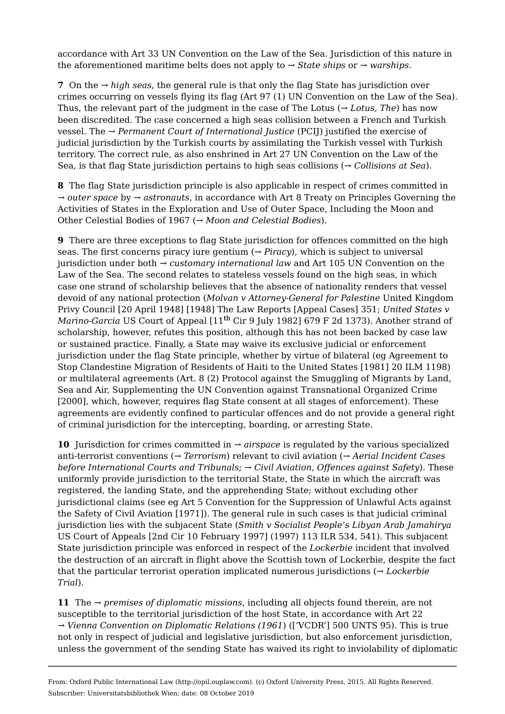accordance with Art 33 UN Convention on the Law of the Sea. Jurisdiction of this nature in the aforementioned maritime belts does not apply to *→ State ships* or *→ warships*.

**7**  On the *→ high seas*, the general rule is that only the flag State has jurisdiction over crimes occurring on vessels flying its flag (Art 97 (1) UN Convention on the Law of the Sea). Thus, the relevant part of the judgment in the case of The Lotus (*→ Lotus, The*) has now been discredited. The case concerned a high seas collision between a French and Turkish vessel. The *→ Permanent Court of International Justice* (PCIJ) justified the exercise of judicial jurisdiction by the Turkish courts by assimilating the Turkish vessel with Turkish territory. The correct rule, as also enshrined in Art 27 UN Convention on the Law of the Sea, is that flag State jurisdiction pertains to high seas collisions (*→ Collisions at Sea*).

**8**  The flag State jurisdiction principle is also applicable in respect of crimes committed in *→ outer space* by *→ astronauts*, in accordance with Art 8 Treaty on Principles Governing the Activities of States in the Exploration and Use of Outer Space, Including the Moon and Other Celestial Bodies of 1967 (*→ Moon and Celestial Bodies*).

**9**  There are three exceptions to flag State jurisdiction for offences committed on the high seas. The first concerns piracy iure gentium (*→ Piracy*), which is subject to universal jurisdiction under both *→ customary international law* and Art 105 UN Convention on the Law of the Sea. The second relates to stateless vessels found on the high seas, in which case one strand of scholarship believes that the absence of nationality renders that vessel devoid of any national protection (*Molvan v Attorney-General for Palestine* United Kingdom Privy Council [20 April 1948] [1948] The Law Reports [Appeal Cases] 351; *United States v Marino-Garcia* US Court of Appeal [11<sup>th</sup> Cir 9 July 1982] 679 F 2d 1373). Another strand of scholarship, however, refutes this position, although this has not been backed by case law or sustained practice. Finally, a State may waive its exclusive judicial or enforcement jurisdiction under the flag State principle, whether by virtue of bilateral (eg Agreement to Stop Clandestine Migration of Residents of Haiti to the United States [1981] 20 ILM 1198) or multilateral agreements (Art. 8 (2) Protocol against the Smuggling of Migrants by Land, Sea and Air, Supplementing the UN Convention against Transnational Organized Crime [2000], which, however, requires flag State consent at all stages of enforcement). These agreements are evidently confined to particular offences and do not provide a general right of criminal jurisdiction for the intercepting, boarding, or arresting State.

**10**  Jurisdiction for crimes committed in *→ airspace* is regulated by the various specialized anti-terrorist conventions (*→ Terrorism*) relevant to civil aviation (*→ Aerial Incident Cases before International Courts and Tribunals*; *→ Civil Aviation, Offences against Safety*). These uniformly provide jurisdiction to the territorial State, the State in which the aircraft was registered, the landing State, and the apprehending State; without excluding other jurisdictional claims (see eg Art 5 Convention for the Suppression of Unlawful Acts against the Safety of Civil Aviation [1971]). The general rule in such cases is that judicial criminal jurisdiction lies with the subjacent State (*Smith v Socialist People's Libyan Arab Jamahirya* US Court of Appeals [2nd Cir 10 February 1997] (1997) 113 ILR 534, 541). This subjacent State jurisdiction principle was enforced in respect of the *Lockerbie* incident that involved the destruction of an aircraft in flight above the Scottish town of Lockerbie, despite the fact that the particular terrorist operation implicated numerous jurisdictions (*→ Lockerbie Trial*).

**11**  The *→ premises of diplomatic missions*, including all objects found therein, are not susceptible to the territorial jurisdiction of the host State, in accordance with Art 22 *→ Vienna Convention on Diplomatic Relations (1961*) (['VCDR'] 500 UNTS 95). This is true not only in respect of judicial and legislative jurisdiction, but also enforcement jurisdiction, unless the government of the sending State has waived its right to inviolability of diplomatic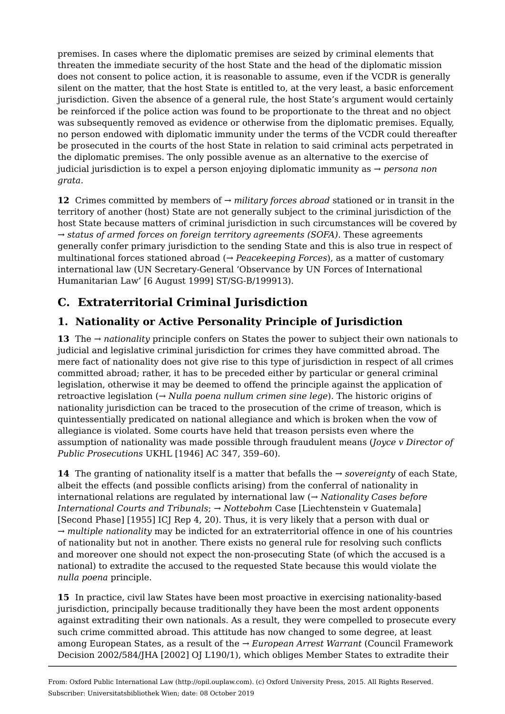premises. In cases where the diplomatic premises are seized by criminal elements that threaten the immediate security of the host State and the head of the diplomatic mission does not consent to police action, it is reasonable to assume, even if the VCDR is generally silent on the matter, that the host State is entitled to, at the very least, a basic enforcement jurisdiction. Given the absence of a general rule, the host State's argument would certainly be reinforced if the police action was found to be proportionate to the threat and no object was subsequently removed as evidence or otherwise from the diplomatic premises. Equally, no person endowed with diplomatic immunity under the terms of the VCDR could thereafter be prosecuted in the courts of the host State in relation to said criminal acts perpetrated in the diplomatic premises. The only possible avenue as an alternative to the exercise of judicial jurisdiction is to expel a person enjoying diplomatic immunity as *→ persona non grata*.

**12**  Crimes committed by members of *→ military forces abroad* stationed or in transit in the territory of another (host) State are not generally subject to the criminal jurisdiction of the host State because matters of criminal jurisdiction in such circumstances will be covered by *→ status of armed forces on foreign territory agreements (SOFA)*. These agreements generally confer primary jurisdiction to the sending State and this is also true in respect of multinational forces stationed abroad (*→ Peacekeeping Forces*), as a matter of customary international law (UN Secretary-General 'Observance by UN Forces of International Humanitarian Law' [6 August 1999] ST/SG-B/199913).

# **C. Extraterritorial Criminal Jurisdiction**

#### **1. Nationality or Active Personality Principle of Jurisdiction**

**13**  The *→ nationality* principle confers on States the power to subject their own nationals to judicial and legislative criminal jurisdiction for crimes they have committed abroad. The mere fact of nationality does not give rise to this type of jurisdiction in respect of all crimes committed abroad; rather, it has to be preceded either by particular or general criminal legislation, otherwise it may be deemed to offend the principle against the application of retroactive legislation (*→ Nulla poena nullum crimen sine lege*). The historic origins of nationality jurisdiction can be traced to the prosecution of the crime of treason, which is quintessentially predicated on national allegiance and which is broken when the vow of allegiance is violated. Some courts have held that treason persists even where the assumption of nationality was made possible through fraudulent means (*Joyce v Director of Public Prosecutions* UKHL [1946] AC 347, 359–60).

**14**  The granting of nationality itself is a matter that befalls the *→ sovereignty* of each State, albeit the effects (and possible conflicts arising) from the conferral of nationality in international relations are regulated by international law (*→ Nationality Cases before International Courts and Tribunals*; *→ Nottebohm* Case [Liechtenstein v Guatemala] [Second Phase] [1955] ICJ Rep 4, 20). Thus, it is very likely that a person with dual or *→ multiple nationality* may be indicted for an extraterritorial offence in one of his countries of nationality but not in another. There exists no general rule for resolving such conflicts and moreover one should not expect the non-prosecuting State (of which the accused is a national) to extradite the accused to the requested State because this would violate the *nulla poena* principle.

**15**  In practice, civil law States have been most proactive in exercising nationality-based jurisdiction, principally because traditionally they have been the most ardent opponents against extraditing their own nationals. As a result, they were compelled to prosecute every such crime committed abroad. This attitude has now changed to some degree, at least among European States, as a result of the *→ European Arrest Warrant* (Council Framework Decision 2002/584/JHA [2002] OJ L190/1), which obliges Member States to extradite their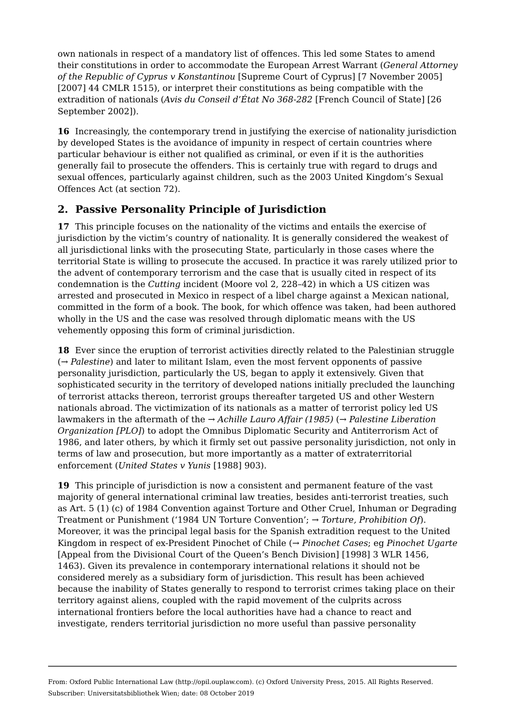own nationals in respect of a mandatory list of offences. This led some States to amend their constitutions in order to accommodate the European Arrest Warrant (*General Attorney of the Republic of Cyprus v Konstantinou* [Supreme Court of Cyprus] [7 November 2005] [2007] 44 CMLR 1515), or interpret their constitutions as being compatible with the extradition of nationals (*Avis du Conseil d'État No 368-282* [French Council of State] [26 September 2002]).

**16**  Increasingly, the contemporary trend in justifying the exercise of nationality jurisdiction by developed States is the avoidance of impunity in respect of certain countries where particular behaviour is either not qualified as criminal, or even if it is the authorities generally fail to prosecute the offenders. This is certainly true with regard to drugs and sexual offences, particularly against children, such as the 2003 United Kingdom's Sexual Offences Act (at section 72).

#### **2. Passive Personality Principle of Jurisdiction**

**17**  This principle focuses on the nationality of the victims and entails the exercise of jurisdiction by the victim's country of nationality. It is generally considered the weakest of all jurisdictional links with the prosecuting State, particularly in those cases where the territorial State is willing to prosecute the accused. In practice it was rarely utilized prior to the advent of contemporary terrorism and the case that is usually cited in respect of its condemnation is the *Cutting* incident (Moore vol 2, 228–42) in which a US citizen was arrested and prosecuted in Mexico in respect of a libel charge against a Mexican national, committed in the form of a book. The book, for which offence was taken, had been authored wholly in the US and the case was resolved through diplomatic means with the US vehemently opposing this form of criminal jurisdiction.

**18**  Ever since the eruption of terrorist activities directly related to the Palestinian struggle (*→ Palestine*) and later to militant Islam, even the most fervent opponents of passive personality jurisdiction, particularly the US, began to apply it extensively. Given that sophisticated security in the territory of developed nations initially precluded the launching of terrorist attacks thereon, terrorist groups thereafter targeted US and other Western nationals abroad. The victimization of its nationals as a matter of terrorist policy led US lawmakers in the aftermath of the *→ Achille Lauro Affair (1985)* (*→ Palestine Liberation Organization [PLO]*) to adopt the Omnibus Diplomatic Security and Antiterrorism Act of 1986, and later others, by which it firmly set out passive personality jurisdiction, not only in terms of law and prosecution, but more importantly as a matter of extraterritorial enforcement (*United States v Yunis* [1988] 903).

**19**  This principle of jurisdiction is now a consistent and permanent feature of the vast majority of general international criminal law treaties, besides anti-terrorist treaties, such as Art. 5 (1) (c) of 1984 Convention against Torture and Other Cruel, Inhuman or Degrading Treatment or Punishment ('1984 UN Torture Convention'; *→ Torture, Prohibition Of*). Moreover, it was the principal legal basis for the Spanish extradition request to the United Kingdom in respect of ex-President Pinochet of Chile (*→ Pinochet Cases*; eg *Pinochet Ugarte* [Appeal from the Divisional Court of the Queen's Bench Division] [1998] 3 WLR 1456, 1463). Given its prevalence in contemporary international relations it should not be considered merely as a subsidiary form of jurisdiction. This result has been achieved because the inability of States generally to respond to terrorist crimes taking place on their territory against aliens, coupled with the rapid movement of the culprits across international frontiers before the local authorities have had a chance to react and investigate, renders territorial jurisdiction no more useful than passive personality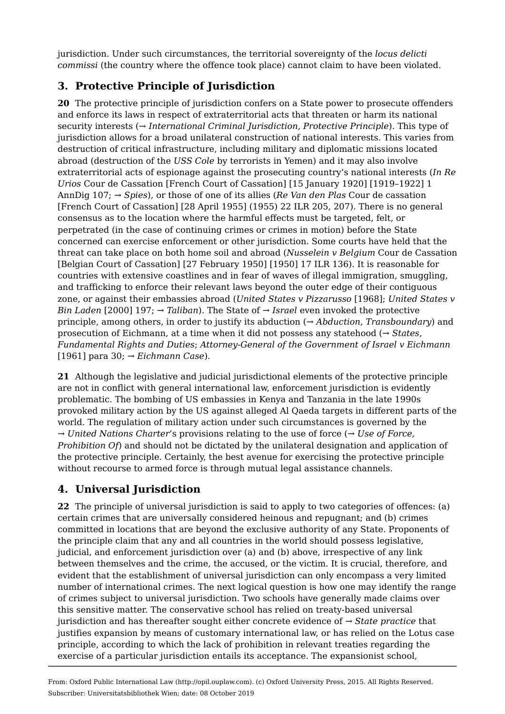jurisdiction. Under such circumstances, the territorial sovereignty of the *locus delicti commissi* (the country where the offence took place) cannot claim to have been violated.

#### **3. Protective Principle of Jurisdiction**

**20**  The protective principle of jurisdiction confers on a State power to prosecute offenders and enforce its laws in respect of extraterritorial acts that threaten or harm its national security interests (*→ International Criminal Jurisdiction, Protective Principle*). This type of jurisdiction allows for a broad unilateral construction of national interests. This varies from destruction of critical infrastructure, including military and diplomatic missions located abroad (destruction of the *USS Cole* by terrorists in Yemen) and it may also involve extraterritorial acts of espionage against the prosecuting country's national interests (*In Re Urios* Cour de Cassation [French Court of Cassation] [15 January 1920] [1919–1922] 1 AnnDig 107; *→ Spies*), or those of one of its allies (*Re Van den Plas* Cour de cassation [French Court of Cassation] [28 April 1955] (1955) 22 ILR 205, 207). There is no general consensus as to the location where the harmful effects must be targeted, felt, or perpetrated (in the case of continuing crimes or crimes in motion) before the State concerned can exercise enforcement or other jurisdiction. Some courts have held that the threat can take place on both home soil and abroad (*Nusselein v Belgium* Cour de Cassation [Belgian Court of Cassation] [27 February 1950] [1950] 17 ILR 136). It is reasonable for countries with extensive coastlines and in fear of waves of illegal immigration, smuggling, and trafficking to enforce their relevant laws beyond the outer edge of their contiguous zone, or against their embassies abroad (*United States v Pizzarusso* [1968]; *United States v Bin Laden* [2000] 197; *→ Taliban*). The State of *→ Israel* even invoked the protective principle, among others, in order to justify its abduction (*→ Abduction, Transboundary*) and prosecution of Eichmann, at a time when it did not possess any statehood (*→ States, Fundamental Rights and Duties*; *Attorney-General of the Government of Israel v Eichmann* [1961] para 30; *→ Eichmann Case*).

**21**  Although the legislative and judicial jurisdictional elements of the protective principle are not in conflict with general international law, enforcement jurisdiction is evidently problematic. The bombing of US embassies in Kenya and Tanzania in the late 1990s provoked military action by the US against alleged Al Qaeda targets in different parts of the world. The regulation of military action under such circumstances is governed by the *→ United Nations Charter*'s provisions relating to the use of force (*→ Use of Force, Prohibition Of*) and should not be dictated by the unilateral designation and application of the protective principle. Certainly, the best avenue for exercising the protective principle without recourse to armed force is through mutual legal assistance channels.

## **4. Universal Jurisdiction**

**22**  The principle of universal jurisdiction is said to apply to two categories of offences: (a) certain crimes that are universally considered heinous and repugnant; and (b) crimes committed in locations that are beyond the exclusive authority of any State. Proponents of the principle claim that any and all countries in the world should possess legislative, judicial, and enforcement jurisdiction over (a) and (b) above, irrespective of any link between themselves and the crime, the accused, or the victim. It is crucial, therefore, and evident that the establishment of universal jurisdiction can only encompass a very limited number of international crimes. The next logical question is how one may identify the range of crimes subject to universal jurisdiction. Two schools have generally made claims over this sensitive matter. The conservative school has relied on treaty-based universal jurisdiction and has thereafter sought either concrete evidence of *→ State practice* that justifies expansion by means of customary international law, or has relied on the Lotus case principle, according to which the lack of prohibition in relevant treaties regarding the exercise of a particular jurisdiction entails its acceptance. The expansionist school,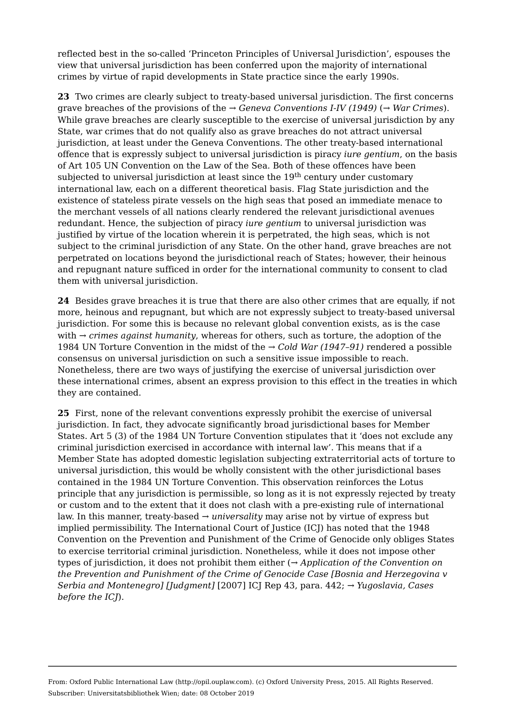reflected best in the so-called 'Princeton Principles of Universal Jurisdiction', espouses the view that universal jurisdiction has been conferred upon the majority of international crimes by virtue of rapid developments in State practice since the early 1990s.

**23**  Two crimes are clearly subject to treaty-based universal jurisdiction. The first concerns grave breaches of the provisions of the *→ Geneva Conventions I-IV (1949)* (*→ War Crimes*). While grave breaches are clearly susceptible to the exercise of universal jurisdiction by any State, war crimes that do not qualify also as grave breaches do not attract universal jurisdiction, at least under the Geneva Conventions. The other treaty-based international offence that is expressly subject to universal jurisdiction is piracy *iure gentium*, on the basis of Art 105 UN Convention on the Law of the Sea. Both of these offences have been subjected to universal jurisdiction at least since the  $19^{\rm th}$  century under customary international law, each on a different theoretical basis. Flag State jurisdiction and the existence of stateless pirate vessels on the high seas that posed an immediate menace to the merchant vessels of all nations clearly rendered the relevant jurisdictional avenues redundant. Hence, the subjection of piracy *iure gentium* to universal jurisdiction was justified by virtue of the location wherein it is perpetrated, the high seas, which is not subject to the criminal jurisdiction of any State. On the other hand, grave breaches are not perpetrated on locations beyond the jurisdictional reach of States; however, their heinous and repugnant nature sufficed in order for the international community to consent to clad them with universal jurisdiction.

**24**  Besides grave breaches it is true that there are also other crimes that are equally, if not more, heinous and repugnant, but which are not expressly subject to treaty-based universal jurisdiction. For some this is because no relevant global convention exists, as is the case with *→ crimes against humanity*, whereas for others, such as torture, the adoption of the 1984 UN Torture Convention in the midst of the *→ Cold War (1947–91)* rendered a possible consensus on universal jurisdiction on such a sensitive issue impossible to reach. Nonetheless, there are two ways of justifying the exercise of universal jurisdiction over these international crimes, absent an express provision to this effect in the treaties in which they are contained.

**25**  First, none of the relevant conventions expressly prohibit the exercise of universal jurisdiction. In fact, they advocate significantly broad jurisdictional bases for Member States. Art 5 (3) of the 1984 UN Torture Convention stipulates that it 'does not exclude any criminal jurisdiction exercised in accordance with internal law'. This means that if a Member State has adopted domestic legislation subjecting extraterritorial acts of torture to universal jurisdiction, this would be wholly consistent with the other jurisdictional bases contained in the 1984 UN Torture Convention. This observation reinforces the Lotus principle that any jurisdiction is permissible, so long as it is not expressly rejected by treaty or custom and to the extent that it does not clash with a pre-existing rule of international law. In this manner, treaty-based *→ universality* may arise not by virtue of express but implied permissibility. The International Court of Justice (ICJ) has noted that the 1948 Convention on the Prevention and Punishment of the Crime of Genocide only obliges States to exercise territorial criminal jurisdiction. Nonetheless, while it does not impose other types of jurisdiction, it does not prohibit them either (*→ Application of the Convention on the Prevention and Punishment of the Crime of Genocide Case [Bosnia and Herzegovina v Serbia and Montenegro] [Judgment]* [2007] ICJ Rep 43, para. 442; *→ Yugoslavia, Cases before the ICJ*).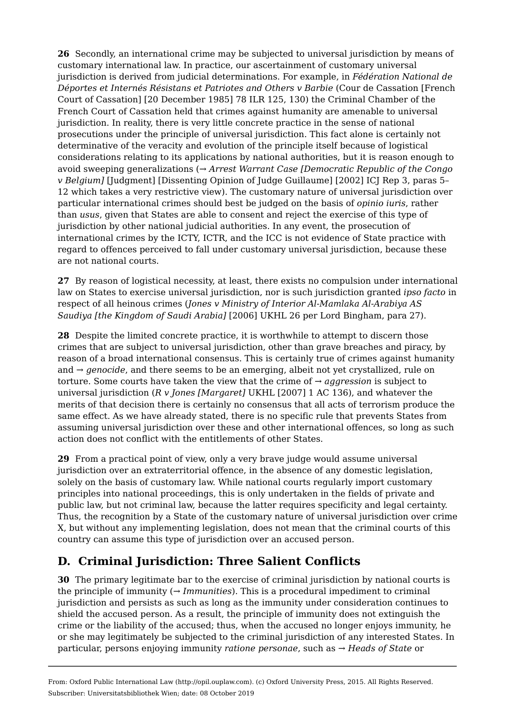**26**  Secondly, an international crime may be subjected to universal jurisdiction by means of customary international law. In practice, our ascertainment of customary universal jurisdiction is derived from judicial determinations. For example, in *Fédération National de Déportes et Internés Résistans et Patriotes and Others v Barbie* (Cour de Cassation [French Court of Cassation] [20 December 1985] 78 ILR 125, 130) the Criminal Chamber of the French Court of Cassation held that crimes against humanity are amenable to universal jurisdiction. In reality, there is very little concrete practice in the sense of national prosecutions under the principle of universal jurisdiction. This fact alone is certainly not determinative of the veracity and evolution of the principle itself because of logistical considerations relating to its applications by national authorities, but it is reason enough to avoid sweeping generalizations (*→ Arrest Warrant Case [Democratic Republic of the Congo v Belgium]* [Judgment] [Dissenting Opinion of Judge Guillaume] [2002] ICJ Rep 3, paras 5– 12 which takes a very restrictive view). The customary nature of universal jurisdiction over particular international crimes should best be judged on the basis of *opinio iuris*, rather than *usus*, given that States are able to consent and reject the exercise of this type of jurisdiction by other national judicial authorities. In any event, the prosecution of international crimes by the ICTY, ICTR, and the ICC is not evidence of State practice with regard to offences perceived to fall under customary universal jurisdiction, because these are not national courts.

**27**  By reason of logistical necessity, at least, there exists no compulsion under international law on States to exercise universal jurisdiction, nor is such jurisdiction granted *ipso facto* in respect of all heinous crimes (*Jones v Ministry of Interior Al-Mamlaka Al-Arabiya AS Saudiya [the Kingdom of Saudi Arabia]* [2006] UKHL 26 per Lord Bingham, para 27).

**28**  Despite the limited concrete practice, it is worthwhile to attempt to discern those crimes that are subject to universal jurisdiction, other than grave breaches and piracy, by reason of a broad international consensus. This is certainly true of crimes against humanity and *→ genocide*, and there seems to be an emerging, albeit not yet crystallized, rule on torture. Some courts have taken the view that the crime of  $\rightarrow$  *aggression* is subject to universal jurisdiction (*R v Jones [Margaret]* UKHL [2007] 1 AC 136), and whatever the merits of that decision there is certainly no consensus that all acts of terrorism produce the same effect. As we have already stated, there is no specific rule that prevents States from assuming universal jurisdiction over these and other international offences, so long as such action does not conflict with the entitlements of other States.

**29**  From a practical point of view, only a very brave judge would assume universal jurisdiction over an extraterritorial offence, in the absence of any domestic legislation, solely on the basis of customary law. While national courts regularly import customary principles into national proceedings, this is only undertaken in the fields of private and public law, but not criminal law, because the latter requires specificity and legal certainty. Thus, the recognition by a State of the customary nature of universal jurisdiction over crime X, but without any implementing legislation, does not mean that the criminal courts of this country can assume this type of jurisdiction over an accused person.

# **D. Criminal Jurisdiction: Three Salient Conflicts**

**30**  The primary legitimate bar to the exercise of criminal jurisdiction by national courts is the principle of immunity ( $\rightarrow$  *Immunities*). This is a procedural impediment to criminal jurisdiction and persists as such as long as the immunity under consideration continues to shield the accused person. As a result, the principle of immunity does not extinguish the crime or the liability of the accused; thus, when the accused no longer enjoys immunity, he or she may legitimately be subjected to the criminal jurisdiction of any interested States. In particular, persons enjoying immunity *ratione personae*, such as *→ Heads of State* or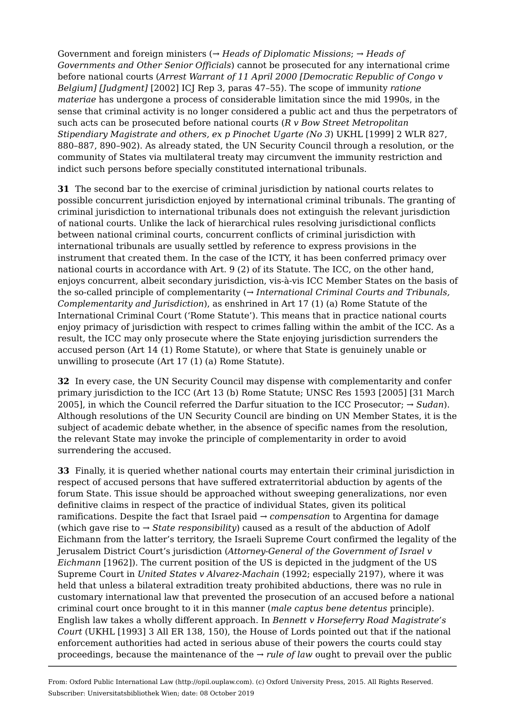Government and foreign ministers (*→ Heads of Diplomatic Missions*; *→ Heads of Governments and Other Senior Officials*) cannot be prosecuted for any international crime before national courts (*Arrest Warrant of 11 April 2000 [Democratic Republic of Congo v Belgium] [Judgment]* [2002] ICJ Rep 3, paras 47–55). The scope of immunity *ratione materiae* has undergone a process of considerable limitation since the mid 1990s, in the sense that criminal activity is no longer considered a public act and thus the perpetrators of such acts can be prosecuted before national courts (*R v Bow Street Metropolitan Stipendiary Magistrate and others, ex p Pinochet Ugarte (No 3*) UKHL [1999] 2 WLR 827, 880–887, 890–902). As already stated, the UN Security Council through a resolution, or the community of States via multilateral treaty may circumvent the immunity restriction and indict such persons before specially constituted international tribunals.

**31**  The second bar to the exercise of criminal jurisdiction by national courts relates to possible concurrent jurisdiction enjoyed by international criminal tribunals. The granting of criminal jurisdiction to international tribunals does not extinguish the relevant jurisdiction of national courts. Unlike the lack of hierarchical rules resolving jurisdictional conflicts between national criminal courts, concurrent conflicts of criminal jurisdiction with international tribunals are usually settled by reference to express provisions in the instrument that created them. In the case of the ICTY, it has been conferred primacy over national courts in accordance with Art. 9 (2) of its Statute. The ICC, on the other hand, enjoys concurrent, albeit secondary jurisdiction, vis-à-vis ICC Member States on the basis of the so-called principle of complementarity (*→ International Criminal Courts and Tribunals, Complementarity and Jurisdiction*), as enshrined in Art 17 (1) (a) Rome Statute of the International Criminal Court ('Rome Statute'). This means that in practice national courts enjoy primacy of jurisdiction with respect to crimes falling within the ambit of the ICC. As a result, the ICC may only prosecute where the State enjoying jurisdiction surrenders the accused person (Art 14 (1) Rome Statute), or where that State is genuinely unable or unwilling to prosecute (Art 17 (1) (a) Rome Statute).

**32**  In every case, the UN Security Council may dispense with complementarity and confer primary jurisdiction to the ICC (Art 13 (b) Rome Statute; UNSC Res 1593 [2005] [31 March 2005], in which the Council referred the Darfur situation to the ICC Prosecutor; *→ Sudan*). Although resolutions of the UN Security Council are binding on UN Member States, it is the subject of academic debate whether, in the absence of specific names from the resolution, the relevant State may invoke the principle of complementarity in order to avoid surrendering the accused.

**33**  Finally, it is queried whether national courts may entertain their criminal jurisdiction in respect of accused persons that have suffered extraterritorial abduction by agents of the forum State. This issue should be approached without sweeping generalizations, nor even definitive claims in respect of the practice of individual States, given its political ramifications. Despite the fact that Israel paid *→ compensation* to Argentina for damage (which gave rise to *→ State responsibility*) caused as a result of the abduction of Adolf Eichmann from the latter's territory, the Israeli Supreme Court confirmed the legality of the Jerusalem District Court's jurisdiction (*Attorney-General of the Government of Israel v Eichmann* [1962]). The current position of the US is depicted in the judgment of the US Supreme Court in *United States v Alvarez-Machain* (1992; especially 2197), where it was held that unless a bilateral extradition treaty prohibited abductions, there was no rule in customary international law that prevented the prosecution of an accused before a national criminal court once brought to it in this manner (*male captus bene detentus* principle). English law takes a wholly different approach. In *Bennett v Horseferry Road Magistrate's Court* (UKHL [1993] 3 All ER 138, 150), the House of Lords pointed out that if the national enforcement authorities had acted in serious abuse of their powers the courts could stay proceedings, because the maintenance of the *→ rule of law* ought to prevail over the public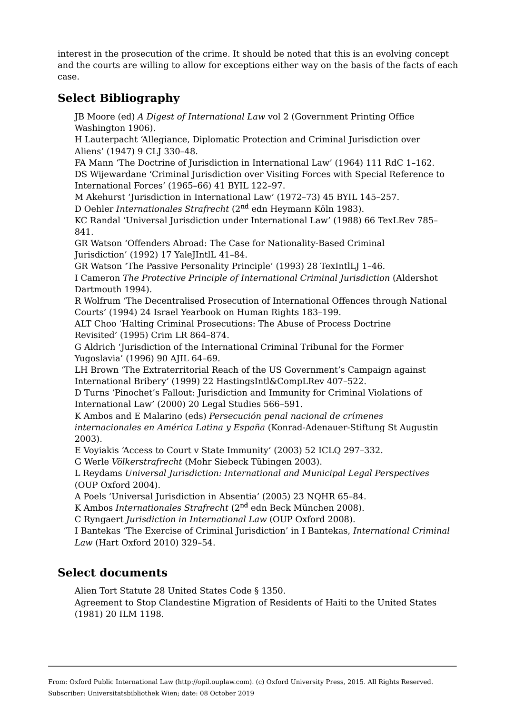interest in the prosecution of the crime. It should be noted that this is an evolving concept and the courts are willing to allow for exceptions either way on the basis of the facts of each case.

### **Select Bibliography**

JB Moore (ed) *A Digest of International Law* vol 2 (Government Printing Office Washington 1906).

H Lauterpacht 'Allegiance, Diplomatic Protection and Criminal Jurisdiction over Aliens' (1947) 9 CLJ 330–48.

FA Mann 'The Doctrine of Jurisdiction in International Law' (1964) 111 RdC 1–162. DS Wijewardane 'Criminal Jurisdiction over Visiting Forces with Special Reference to International Forces' (1965–66) 41 BYIL 122–97.

M Akehurst 'Jurisdiction in International Law' (1972–73) 45 BYIL 145–257.

D Oehler *Internationales Strafrecht* (2<sup>nd</sup> edn Heymann Köln 1983).

KC Randal 'Universal Jurisdiction under International Law' (1988) 66 TexLRev 785– 841.

GR Watson 'Offenders Abroad: The Case for Nationality-Based Criminal Jurisdiction' (1992) 17 YaleJIntlL 41–84.

GR Watson 'The Passive Personality Principle' (1993) 28 TexIntlLJ 1–46.

I Cameron *The Protective Principle of International Criminal Jurisdiction* (Aldershot Dartmouth 1994).

R Wolfrum 'The Decentralised Prosecution of International Offences through National Courts' (1994) 24 Israel Yearbook on Human Rights 183–199.

ALT Choo 'Halting Criminal Prosecutions: The Abuse of Process Doctrine Revisited' (1995) Crim LR 864–874.

G Aldrich 'Jurisdiction of the International Criminal Tribunal for the Former Yugoslavia' (1996) 90 AJIL 64–69.

LH Brown 'The Extraterritorial Reach of the US Government's Campaign against International Bribery' (1999) 22 HastingsIntl&CompLRev 407–522.

D Turns 'Pinochet's Fallout: Jurisdiction and Immunity for Criminal Violations of International Law' (2000) 20 Legal Studies 566–591.

K Ambos and E Malarino (eds) *Persecución penal nacional de crίmenes internacionales en América Latina y España* (Konrad-Adenauer-Stiftung St Augustin 2003).

E Voyiakis 'Access to Court v State Immunity' (2003) 52 ICLQ 297–332.

G Werle *Völkerstrafrecht* (Mohr Siebeck Tübingen 2003).

L Reydams *Universal Jurisdiction: International and Municipal Legal Perspectives* (OUP Oxford 2004).

A Poels 'Universal Jurisdiction in Absentia' (2005) 23 NQHR 65–84.

K Ambos *Internationales Strafrecht* (2<sup>nd</sup> edn Beck München 2008).

C Ryngaert *Jurisdiction in International Law* (OUP Oxford 2008).

I Bantekas 'The Exercise of Criminal Jurisdiction' in I Bantekas, *International Criminal Law* (Hart Oxford 2010) 329–54.

#### **Select documents**

Alien Tort Statute 28 United States Code § 1350.

Agreement to Stop Clandestine Migration of Residents of Haiti to the United States (1981) 20 ILM 1198.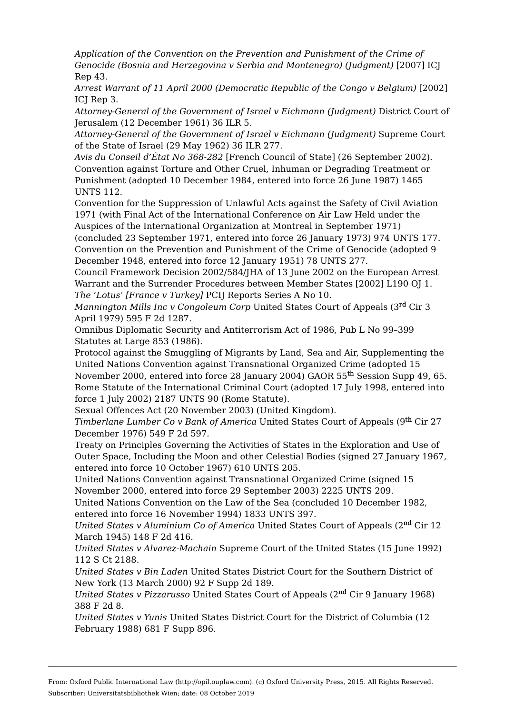*Application of the Convention on the Prevention and Punishment of the Crime of Genocide (Bosnia and Herzegovina v Serbia and Montenegro) (Judgment)* [2007] ICJ Rep 43.

*Arrest Warrant of 11 April 2000 (Democratic Republic of the Congo v Belgium)* [2002] ICJ Rep 3.

*Attorney-General of the Government of Israel v Eichmann (Judgment)* District Court of Jerusalem (12 December 1961) 36 ILR 5.

*Attorney-General of the Government of Israel v Eichmann (Judgment)* Supreme Court of the State of Israel (29 May 1962) 36 ILR 277.

*Avis du Conseil d'État No 368-282* [French Council of State] (26 September 2002). Convention against Torture and Other Cruel, Inhuman or Degrading Treatment or Punishment (adopted 10 December 1984, entered into force 26 June 1987) 1465 UNTS 112.

Convention for the Suppression of Unlawful Acts against the Safety of Civil Aviation 1971 (with Final Act of the International Conference on Air Law Held under the Auspices of the International Organization at Montreal in September 1971)

(concluded 23 September 1971, entered into force 26 January 1973) 974 UNTS 177. Convention on the Prevention and Punishment of the Crime of Genocide (adopted 9 December 1948, entered into force 12 January 1951) 78 UNTS 277.

Council Framework Decision 2002/584/JHA of 13 June 2002 on the European Arrest Warrant and the Surrender Procedures between Member States [2002] L190 OJ 1. *The 'Lotus' [France v Turkey]* PCIJ Reports Series A No 10.

Mannington Mills Inc v Congoleum Corp United States Court of Appeals (3<sup>rd</sup> Cir 3  $\,$ April 1979) 595 F 2d 1287.

Omnibus Diplomatic Security and Antiterrorism Act of 1986, Pub L No 99–399 Statutes at Large 853 (1986).

Protocol against the Smuggling of Migrants by Land, Sea and Air, Supplementing the United Nations Convention against Transnational Organized Crime (adopted 15 November 2000, entered into force 28 January 2004) GAOR 55<sup>th</sup> Session Supp 49, 65. Rome Statute of the International Criminal Court (adopted 17 July 1998, entered into force 1 July 2002) 2187 UNTS 90 (Rome Statute).

Sexual Offences Act (20 November 2003) (United Kingdom).

*Timberlane Lumber Co v Bank of America United States Court of Appeals (9<sup>th</sup> Cir 27* December 1976) 549 F 2d 597.

Treaty on Principles Governing the Activities of States in the Exploration and Use of Outer Space, Including the Moon and other Celestial Bodies (signed 27 January 1967, entered into force 10 October 1967) 610 UNTS 205.

United Nations Convention against Transnational Organized Crime (signed 15 November 2000, entered into force 29 September 2003) 2225 UNTS 209.

United Nations Convention on the Law of the Sea (concluded 10 December 1982, entered into force 16 November 1994) 1833 UNTS 397.

*United States v Aluminium Co of America United States Court of Appeals (2<sup>nd</sup> Cir 12* March 1945) 148 F 2d 416.

*United States v Alvarez-Machain* Supreme Court of the United States (15 June 1992) 112 S Ct 2188.

*United States v Bin Laden* United States District Court for the Southern District of New York (13 March 2000) 92 F Supp 2d 189.

*United States v Pizzarusso* United States Court of Appeals (2<sup>nd</sup> Cir 9 January 1968) 388 F 2d 8.

*United States v Yunis* United States District Court for the District of Columbia (12 February 1988) 681 F Supp 896.